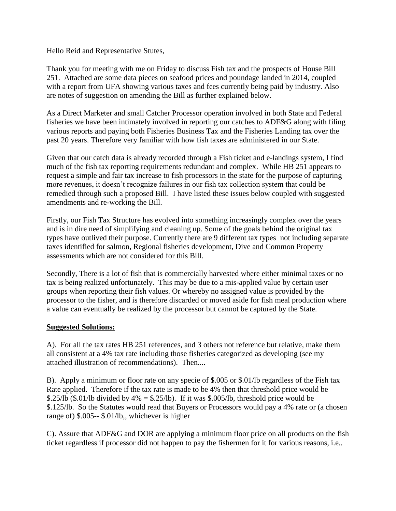Hello Reid and Representative Stutes,

Thank you for meeting with me on Friday to discuss Fish tax and the prospects of House Bill 251. Attached are some data pieces on seafood prices and poundage landed in 2014, coupled with a report from UFA showing various taxes and fees currently being paid by industry. Also are notes of suggestion on amending the Bill as further explained below.

As a Direct Marketer and small Catcher Processor operation involved in both State and Federal fisheries we have been intimately involved in reporting our catches to ADF&G along with filing various reports and paying both Fisheries Business Tax and the Fisheries Landing tax over the past 20 years. Therefore very familiar with how fish taxes are administered in our State.

Given that our catch data is already recorded through a Fish ticket and e-landings system, I find much of the fish tax reporting requirements redundant and complex. While HB 251 appears to request a simple and fair tax increase to fish processors in the state for the purpose of capturing more revenues, it doesn't recognize failures in our fish tax collection system that could be remedied through such a proposed Bill. I have listed these issues below coupled with suggested amendments and re-working the Bill.

Firstly, our Fish Tax Structure has evolved into something increasingly complex over the years and is in dire need of simplifying and cleaning up. Some of the goals behind the original tax types have outlived their purpose. Currently there are 9 different tax types not including separate taxes identified for salmon, Regional fisheries development, Dive and Common Property assessments which are not considered for this Bill.

Secondly, There is a lot of fish that is commercially harvested where either minimal taxes or no tax is being realized unfortunately. This may be due to a mis-applied value by certain user groups when reporting their fish values. Or whereby no assigned value is provided by the processor to the fisher, and is therefore discarded or moved aside for fish meal production where a value can eventually be realized by the processor but cannot be captured by the State.

## **Suggested Solutions:**

A). For all the tax rates HB 251 references, and 3 others not reference but relative, make them all consistent at a 4% tax rate including those fisheries categorized as developing (see my attached illustration of recommendations). Then....

B). Apply a minimum or floor rate on any specie of \$.005 or \$.01/lb regardless of the Fish tax Rate applied. Therefore if the tax rate is made to be 4% then that threshold price would be \$.25/lb (\$.01/lb divided by  $4\% =$  \$.25/lb). If it was \$.005/lb, threshold price would be \$.125/lb. So the Statutes would read that Buyers or Processors would pay a 4% rate or (a chosen range of) \$.005-- \$.01/lb,, whichever is higher

C). Assure that ADF&G and DOR are applying a minimum floor price on all products on the fish ticket regardless if processor did not happen to pay the fishermen for it for various reasons, i.e..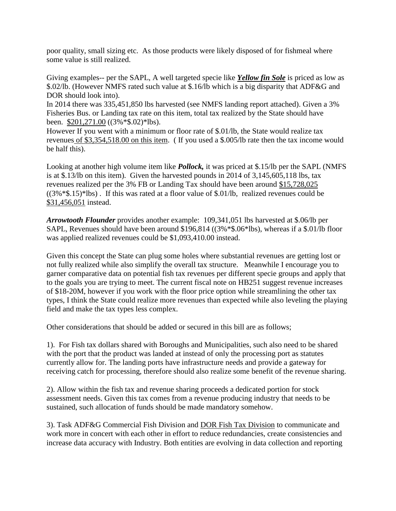poor quality, small sizing etc. As those products were likely disposed of for fishmeal where some value is still realized.

Giving examples-- per the SAPL, A well targeted specie like *Yellow fin Sole* is priced as low as \$.02/lb. (However NMFS rated such value at \$.16/lb which is a big disparity that ADF&G and DOR should look into).

In 2014 there was 335,451,850 lbs harvested (see NMFS landing report attached). Given a 3% Fisheries Bus. or Landing tax rate on this item, total tax realized by the State should have been. \$201,271.00 ((3%\*\$.02)\*lbs).

However If you went with a minimum or floor rate of \$.01/lb, the State would realize tax revenues of \$3,354,518.00 on this item. ( If you used a \$.005/lb rate then the tax income would be half this).

Looking at another high volume item like *Pollock*, it was priced at \$.15/lb per the SAPL (NMFS is at \$.13/lb on this item). Given the harvested pounds in 2014 of 3,145,605,118 lbs, tax revenues realized per the 3% FB or Landing Tax should have been around \$15,728,025  $((3\% * \$.15) *1bs)$ . If this was rated at a floor value of \$.01/lb, realized revenues could be \$31,456,051 instead.

*Arrowtooth Flounder* provides another example: 109,341,051 lbs harvested at \$.06/lb per SAPL, Revenues should have been around \$196,814 ((3%\*\$.06\*lbs), whereas if a \$.01/lb floor was applied realized revenues could be \$1,093,410.00 instead.

Given this concept the State can plug some holes where substantial revenues are getting lost or not fully realized while also simplify the overall tax structure. Meanwhile I encourage you to garner comparative data on potential fish tax revenues per different specie groups and apply that to the goals you are trying to meet. The current fiscal note on HB251 suggest revenue increases of \$18-20M, however if you work with the floor price option while streamlining the other tax types, I think the State could realize more revenues than expected while also leveling the playing field and make the tax types less complex.

Other considerations that should be added or secured in this bill are as follows;

1). For Fish tax dollars shared with Boroughs and Municipalities, such also need to be shared with the port that the product was landed at instead of only the processing port as statutes currently allow for. The landing ports have infrastructure needs and provide a gateway for receiving catch for processing, therefore should also realize some benefit of the revenue sharing.

2). Allow within the fish tax and revenue sharing proceeds a dedicated portion for stock assessment needs. Given this tax comes from a revenue producing industry that needs to be sustained, such allocation of funds should be made mandatory somehow.

3). Task ADF&G Commercial Fish Division and DOR Fish Tax Division to communicate and work more in concert with each other in effort to reduce redundancies, create consistencies and increase data accuracy with Industry. Both entities are evolving in data collection and reporting